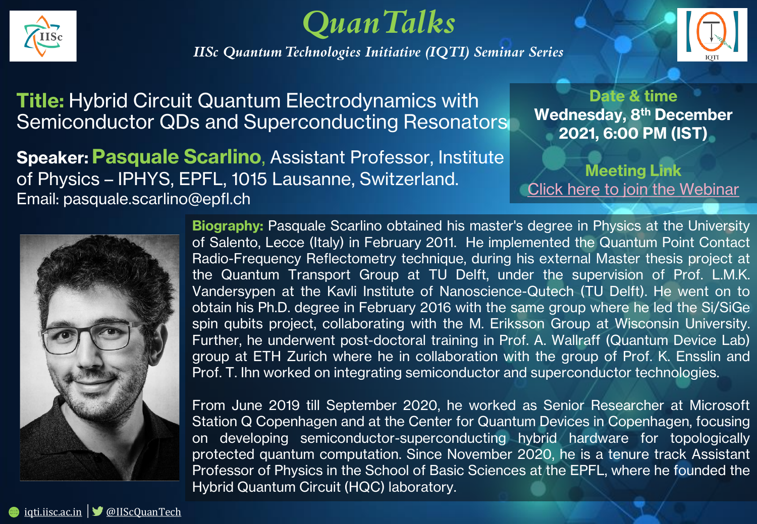

*QuanTalks*

*IISc Quantum Technologies Initiative (IQTI) Seminar Series* 



**Title:** Hybrid Circuit Quantum Electrodynamics with Semiconductor QDs and Superconducting Resonators

**Speaker: Pasquale Scarlino**, Assistant Professor, Institute of Physics – IPHYS, EPFL, 1015 Lausanne, Switzerland. Email: pasquale.scarlino@epfl.ch

## **Date & time Wednesday, 8th December 2021, 6:00 PM (IST)**

**Meeting Link** [Click here to join the Webinar](https://teams.microsoft.com/l/meetup-join/19%3ameeting_YTZjNDQ2YjctNTY1Zi00ZjcyLTk0YzctOGI3OGI0MzY0N2Fl%40thread.v2/0?context=%7b%22Tid%22%3a%226f15cd97-f6a7-41e3-b2c5-ad4193976476%22%2c%22Oid%22%3a%22b1e98dc1-4e01-4163-b345-6491abb1028a%22%7d)



**Biography:** Pasquale Scarlino obtained his master's degree in Physics at the University of Salento, Lecce (Italy) in February 2011. He implemented the Quantum Point Contact Radio-Frequency Reflectometry technique, during his external Master thesis project at the Quantum Transport Group at TU Delft, under the supervision of Prof. L.M.K. Vandersypen at the Kavli Institute of Nanoscience-Qutech (TU Delft). He went on to obtain his Ph.D. degree in February 2016 with the same group where he led the Si/SiGe spin qubits project, collaborating with the M. Eriksson Group at Wisconsin University. Further, he underwent post-doctoral training in Prof. A. Wallraff (Quantum Device Lab) group at ETH Zurich where he in collaboration with the group of Prof. K. Ensslin and Prof. T. Ihn worked on integrating semiconductor and superconductor technologies.

From June 2019 till September 2020, he worked as Senior Researcher at Microsoft Station Q Copenhagen and at the Center for Quantum Devices in Copenhagen, focusing on developing semiconductor-superconducting hybrid hardware for topologically protected quantum computation. Since November 2020, he is a tenure track Assistant Professor of Physics in the School of Basic Sciences at the EPFL, where he founded the Hybrid Quantum Circuit (HQC) laboratory.